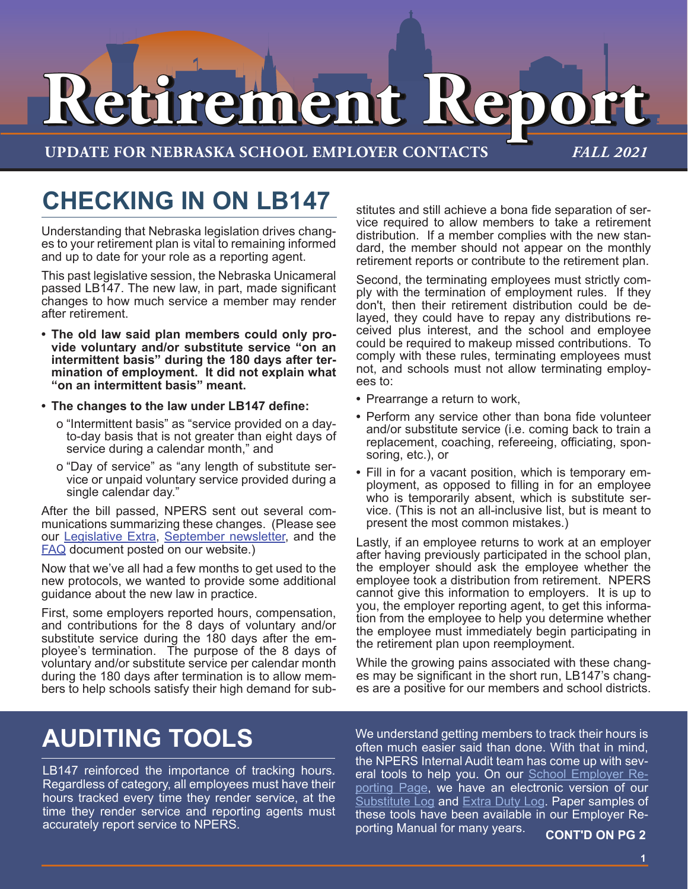# **Retirement Report Retirement Report**

**UPDATE FOR NEBRASKA SCHOOL EMPLOYER CONTACTS** *FALL 2021*

## **CHECKING IN ON LB147**

Understanding that Nebraska legislation drives changes to your retirement plan is vital to remaining informed and up to date for your role as a reporting agent.

This past legislative session, the Nebraska Unicameral passed LB147. The new law, in part, made significant changes to how much service a member may render after retirement.

- **• The old law said plan members could only provide voluntary and/or substitute service "on an intermittent basis" during the 180 days after termination of employment. It did not explain what "on an intermittent basis" meant.**
- **• The changes to the law under LB147 define:**
	- o "Intermittent basis" as "service provided on a dayto-day basis that is not greater than eight days of service during a calendar month," and
	- o "Day of service" as "any length of substitute service or unpaid voluntary service provided during a single calendar day."

After the bill passed, NPERS sent out several communications summarizing these changes. (Please see our [Legislative Extra,](https://npers.ne.gov/SelfService/public/newsletter/legislativeExtra.pdf) [September newsletter,](https://npers.ne.gov/SelfService/public/newsletter/newsletterDB2021Sept.pdf) and the [FAQ](https://npers.ne.gov/SelfService/public/otherInformation/legislation/LB147FAQ.pdf) document posted on our website.)

Now that we've all had a few months to get used to the new protocols, we wanted to provide some additional guidance about the new law in practice.

First, some employers reported hours, compensation, and contributions for the 8 days of voluntary and/or substitute service during the 180 days after the employee's termination. The purpose of the 8 days of voluntary and/or substitute service per calendar month during the 180 days after termination is to allow members to help schools satisfy their high demand for sub-

stitutes and still achieve a bona fide separation of service required to allow members to take a retirement distribution. If a member complies with the new standard, the member should not appear on the monthly retirement reports or contribute to the retirement plan.

Second, the terminating employees must strictly comply with the termination of employment rules. If they don't, then their retirement distribution could be delayed, they could have to repay any distributions received plus interest, and the school and employee could be required to makeup missed contributions. To comply with these rules, terminating employees must not, and schools must not allow terminating employees to:

- **•** Prearrange a return to work,
- **•** Perform any service other than bona fide volunteer and/or substitute service (i.e. coming back to train a replacement, coaching, refereeing, officiating, sponsoring, etc.), or
- **•** Fill in for a vacant position, which is temporary employment, as opposed to filling in for an employee who is temporarily absent, which is substitute service. (This is not an all-inclusive list, but is meant to present the most common mistakes.)

Lastly, if an employee returns to work at an employer after having previously participated in the school plan, the employer should ask the employee whether the employee took a distribution from retirement. NPERS cannot give this information to employers. It is up to you, the employer reporting agent, to get this information from the employee to help you determine whether the employee must immediately begin participating in the retirement plan upon reemployment.

While the growing pains associated with these changes may be significant in the short run, LB147's changes are a positive for our members and school districts.

# **AUDITING TOOLS**

LB147 reinforced the importance of tracking hours. Regardless of category, all employees must have their hours tracked every time they render service, at the time they render service and reporting agents must accurately report service to NPERS.

We understand getting members to track their hours is often much easier said than done. With that in mind, the NPERS Internal Audit team has come up with several tools to help you. On our **[School Employer Re](https://npers.ne.gov/SelfService/public/otherInformation/employerReporting/erSchool.jsp)**[porting Page,](https://npers.ne.gov/SelfService/public/otherInformation/employerReporting/erSchool.jsp) we have an electronic version of our [Substitute Log](https://npers.ne.gov/SelfService/public/documentation/employerReporting/school/SubstituteLog.xlsx) and [Extra Duty Log.](https://npers.ne.gov/SelfService/public/documentation/employerReporting/school/ExtraDutyLog.xlsx) Paper samples of these tools have been available in our Employer Reporting Manual for many years. **CONT'D ON PG 2**